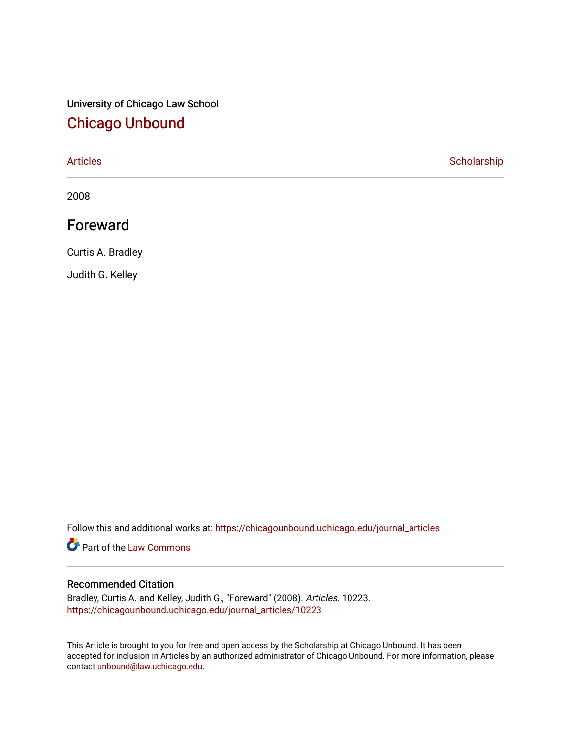## University of Chicago Law School [Chicago Unbound](https://chicagounbound.uchicago.edu/)

[Articles](https://chicagounbound.uchicago.edu/journal_articles) **Scholarship** 

2008

### Foreward

Curtis A. Bradley

Judith G. Kelley

Follow this and additional works at: [https://chicagounbound.uchicago.edu/journal\\_articles](https://chicagounbound.uchicago.edu/journal_articles?utm_source=chicagounbound.uchicago.edu%2Fjournal_articles%2F10223&utm_medium=PDF&utm_campaign=PDFCoverPages) 

**Part of the [Law Commons](http://network.bepress.com/hgg/discipline/578?utm_source=chicagounbound.uchicago.edu%2Fjournal_articles%2F10223&utm_medium=PDF&utm_campaign=PDFCoverPages)** 

### Recommended Citation

Bradley, Curtis A. and Kelley, Judith G., "Foreward" (2008). Articles. 10223. [https://chicagounbound.uchicago.edu/journal\\_articles/10223](https://chicagounbound.uchicago.edu/journal_articles/10223?utm_source=chicagounbound.uchicago.edu%2Fjournal_articles%2F10223&utm_medium=PDF&utm_campaign=PDFCoverPages) 

This Article is brought to you for free and open access by the Scholarship at Chicago Unbound. It has been accepted for inclusion in Articles by an authorized administrator of Chicago Unbound. For more information, please contact [unbound@law.uchicago.edu](mailto:unbound@law.uchicago.edu).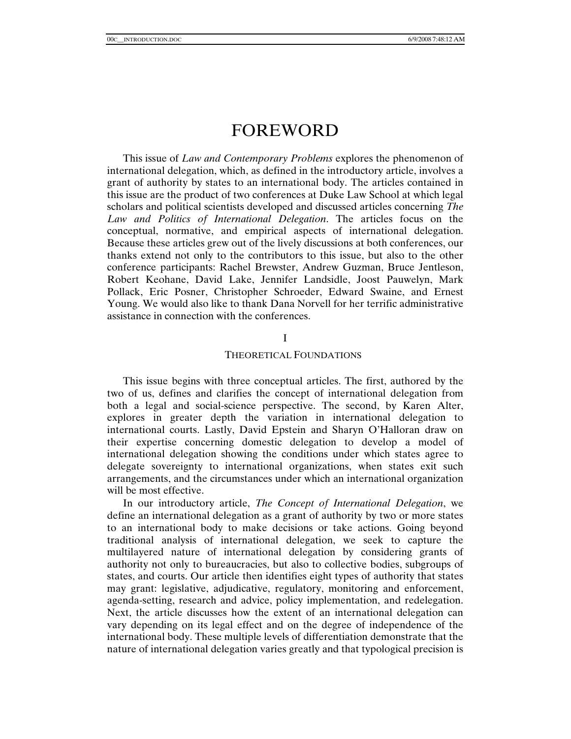# FOREWORD

This issue of *Law and Contemporary Problems* explores the phenomenon of international delegation, which, as defined in the introductory article, involves a grant of authority by states to an international body. The articles contained in this issue are the product of two conferences at Duke Law School at which legal scholars and political scientists developed and discussed articles concerning *The Law and Politics of International Delegation*. The articles focus on the conceptual, normative, and empirical aspects of international delegation. Because these articles grew out of the lively discussions at both conferences, our thanks extend not only to the contributors to this issue, but also to the other conference participants: Rachel Brewster, Andrew Guzman, Bruce Jentleson, Robert Keohane, David Lake, Jennifer Landsidle, Joost Pauwelyn, Mark Pollack, Eric Posner, Christopher Schroeder, Edward Swaine, and Ernest Young. We would also like to thank Dana Norvell for her terrific administrative assistance in connection with the conferences.

#### I

#### THEORETICAL FOUNDATIONS

This issue begins with three conceptual articles. The first, authored by the two of us, defines and clarifies the concept of international delegation from both a legal and social-science perspective. The second, by Karen Alter, explores in greater depth the variation in international delegation to international courts. Lastly, David Epstein and Sharyn O'Halloran draw on their expertise concerning domestic delegation to develop a model of international delegation showing the conditions under which states agree to delegate sovereignty to international organizations, when states exit such arrangements, and the circumstances under which an international organization will be most effective.

In our introductory article, *The Concept of International Delegation*, we define an international delegation as a grant of authority by two or more states to an international body to make decisions or take actions. Going beyond traditional analysis of international delegation, we seek to capture the multilayered nature of international delegation by considering grants of authority not only to bureaucracies, but also to collective bodies, subgroups of states, and courts. Our article then identifies eight types of authority that states may grant: legislative, adjudicative, regulatory, monitoring and enforcement, agenda-setting, research and advice, policy implementation, and redelegation. Next, the article discusses how the extent of an international delegation can vary depending on its legal effect and on the degree of independence of the international body. These multiple levels of differentiation demonstrate that the nature of international delegation varies greatly and that typological precision is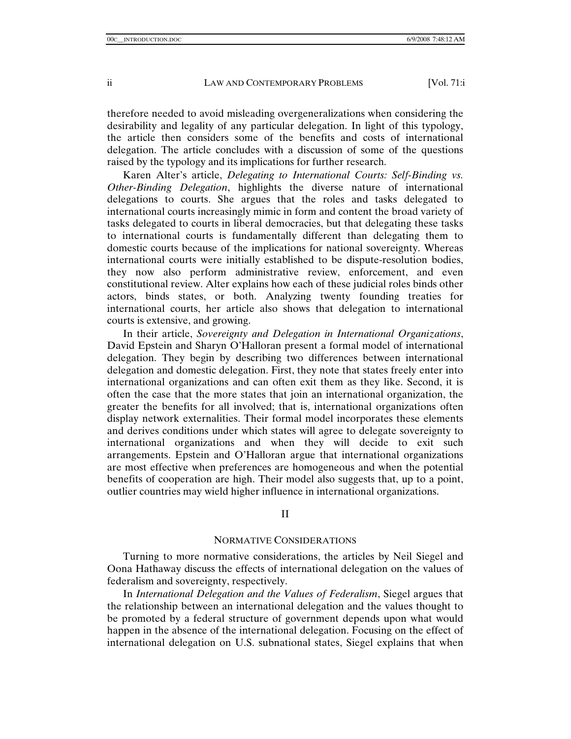therefore needed to avoid misleading overgeneralizations when considering the desirability and legality of any particular delegation. In light of this typology, the article then considers some of the benefits and costs of international delegation. The article concludes with a discussion of some of the questions raised by the typology and its implications for further research.

Karen Alter's article, *Delegating to International Courts: Self-Binding vs. Other-Binding Delegation*, highlights the diverse nature of international delegations to courts. She argues that the roles and tasks delegated to international courts increasingly mimic in form and content the broad variety of tasks delegated to courts in liberal democracies, but that delegating these tasks to international courts is fundamentally different than delegating them to domestic courts because of the implications for national sovereignty. Whereas international courts were initially established to be dispute-resolution bodies, they now also perform administrative review, enforcement, and even constitutional review. Alter explains how each of these judicial roles binds other actors, binds states, or both. Analyzing twenty founding treaties for international courts, her article also shows that delegation to international courts is extensive, and growing.

In their article, *Sovereignty and Delegation in International Organizations*, David Epstein and Sharyn O'Halloran present a formal model of international delegation. They begin by describing two differences between international delegation and domestic delegation. First, they note that states freely enter into international organizations and can often exit them as they like. Second, it is often the case that the more states that join an international organization, the greater the benefits for all involved; that is, international organizations often display network externalities. Their formal model incorporates these elements and derives conditions under which states will agree to delegate sovereignty to international organizations and when they will decide to exit such arrangements. Epstein and O'Halloran argue that international organizations are most effective when preferences are homogeneous and when the potential benefits of cooperation are high. Their model also suggests that, up to a point, outlier countries may wield higher influence in international organizations.

II

#### NORMATIVE CONSIDERATIONS

Turning to more normative considerations, the articles by Neil Siegel and Oona Hathaway discuss the effects of international delegation on the values of federalism and sovereignty, respectively.

In *International Delegation and the Values of Federalism*, Siegel argues that the relationship between an international delegation and the values thought to be promoted by a federal structure of government depends upon what would happen in the absence of the international delegation. Focusing on the effect of international delegation on U.S. subnational states, Siegel explains that when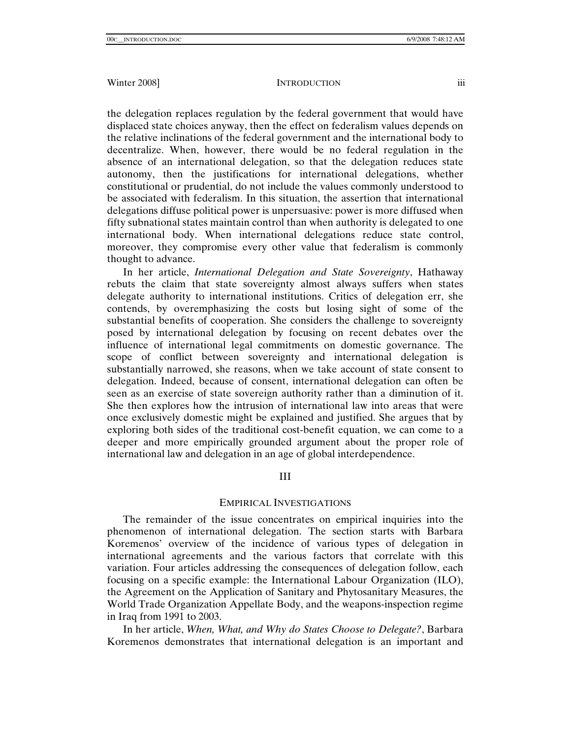the delegation replaces regulation by the federal government that would have displaced state choices anyway, then the effect on federalism values depends on the relative inclinations of the federal government and the international body to decentralize. When, however, there would be no federal regulation in the absence of an international delegation, so that the delegation reduces state autonomy, then the justifications for international delegations, whether constitutional or prudential, do not include the values commonly understood to be associated with federalism. In this situation, the assertion that international delegations diffuse political power is unpersuasive: power is more diffused when fifty subnational states maintain control than when authority is delegated to one international body. When international delegations reduce state control, moreover, they compromise every other value that federalism is commonly thought to advance.

In her article, *International Delegation and State Sovereignty*, Hathaway rebuts the claim that state sovereignty almost always suffers when states delegate authority to international institutions. Critics of delegation err, she contends, by overemphasizing the costs but losing sight of some of the substantial benefits of cooperation. She considers the challenge to sovereignty posed by international delegation by focusing on recent debates over the influence of international legal commitments on domestic governance. The scope of conflict between sovereignty and international delegation is substantially narrowed, she reasons, when we take account of state consent to delegation. Indeed, because of consent, international delegation can often be seen as an exercise of state sovereign authority rather than a diminution of it. She then explores how the intrusion of international law into areas that were once exclusively domestic might be explained and justified. She argues that by exploring both sides of the traditional cost-benefit equation, we can come to a deeper and more empirically grounded argument about the proper role of international law and delegation in an age of global interdependence.

#### III

### EMPIRICAL INVESTIGATIONS

The remainder of the issue concentrates on empirical inquiries into the phenomenon of international delegation. The section starts with Barbara Koremenos' overview of the incidence of various types of delegation in international agreements and the various factors that correlate with this variation. Four articles addressing the consequences of delegation follow, each focusing on a specific example: the International Labour Organization (ILO), the Agreement on the Application of Sanitary and Phytosanitary Measures, the World Trade Organization Appellate Body, and the weapons-inspection regime in Iraq from 1991 to 2003.

In her article, *When, What, and Why do States Choose to Delegate?*, Barbara Koremenos demonstrates that international delegation is an important and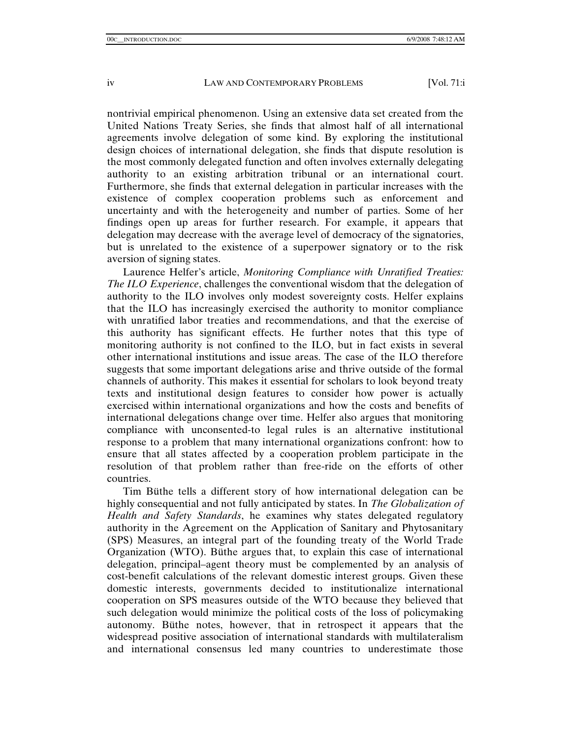nontrivial empirical phenomenon. Using an extensive data set created from the United Nations Treaty Series, she finds that almost half of all international agreements involve delegation of some kind. By exploring the institutional design choices of international delegation, she finds that dispute resolution is the most commonly delegated function and often involves externally delegating authority to an existing arbitration tribunal or an international court. Furthermore, she finds that external delegation in particular increases with the existence of complex cooperation problems such as enforcement and uncertainty and with the heterogeneity and number of parties. Some of her findings open up areas for further research. For example, it appears that delegation may decrease with the average level of democracy of the signatories, but is unrelated to the existence of a superpower signatory or to the risk aversion of signing states.

Laurence Helfer's article, *Monitoring Compliance with Unratified Treaties: The ILO Experience*, challenges the conventional wisdom that the delegation of authority to the ILO involves only modest sovereignty costs. Helfer explains that the ILO has increasingly exercised the authority to monitor compliance with unratified labor treaties and recommendations, and that the exercise of this authority has significant effects. He further notes that this type of monitoring authority is not confined to the ILO, but in fact exists in several other international institutions and issue areas. The case of the ILO therefore suggests that some important delegations arise and thrive outside of the formal channels of authority. This makes it essential for scholars to look beyond treaty texts and institutional design features to consider how power is actually exercised within international organizations and how the costs and benefits of international delegations change over time. Helfer also argues that monitoring compliance with unconsented-to legal rules is an alternative institutional response to a problem that many international organizations confront: how to ensure that all states affected by a cooperation problem participate in the resolution of that problem rather than free-ride on the efforts of other countries.

Tim Büthe tells a different story of how international delegation can be highly consequential and not fully anticipated by states. In *The Globalization of Health and Safety Standards*, he examines why states delegated regulatory authority in the Agreement on the Application of Sanitary and Phytosanitary (SPS) Measures, an integral part of the founding treaty of the World Trade Organization (WTO). Büthe argues that, to explain this case of international delegation, principal–agent theory must be complemented by an analysis of cost-benefit calculations of the relevant domestic interest groups. Given these domestic interests, governments decided to institutionalize international cooperation on SPS measures outside of the WTO because they believed that such delegation would minimize the political costs of the loss of policymaking autonomy. Büthe notes, however, that in retrospect it appears that the widespread positive association of international standards with multilateralism and international consensus led many countries to underestimate those